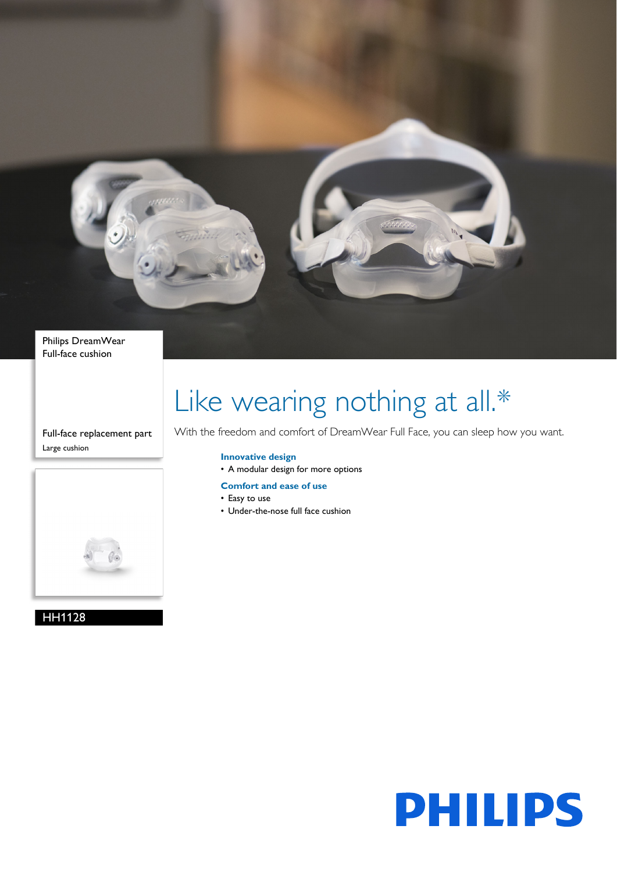

Philips DreamWear Full-face cushion

Full-face replacement part Large cushion



HH1128

# Like wearing nothing at all.\*

With the freedom and comfort of DreamWear Full Face, you can sleep how you want.

## **Innovative design**

- A modular design for more options
- **Comfort and ease of use**
- Easy to use
- Under-the-nose full face cushion